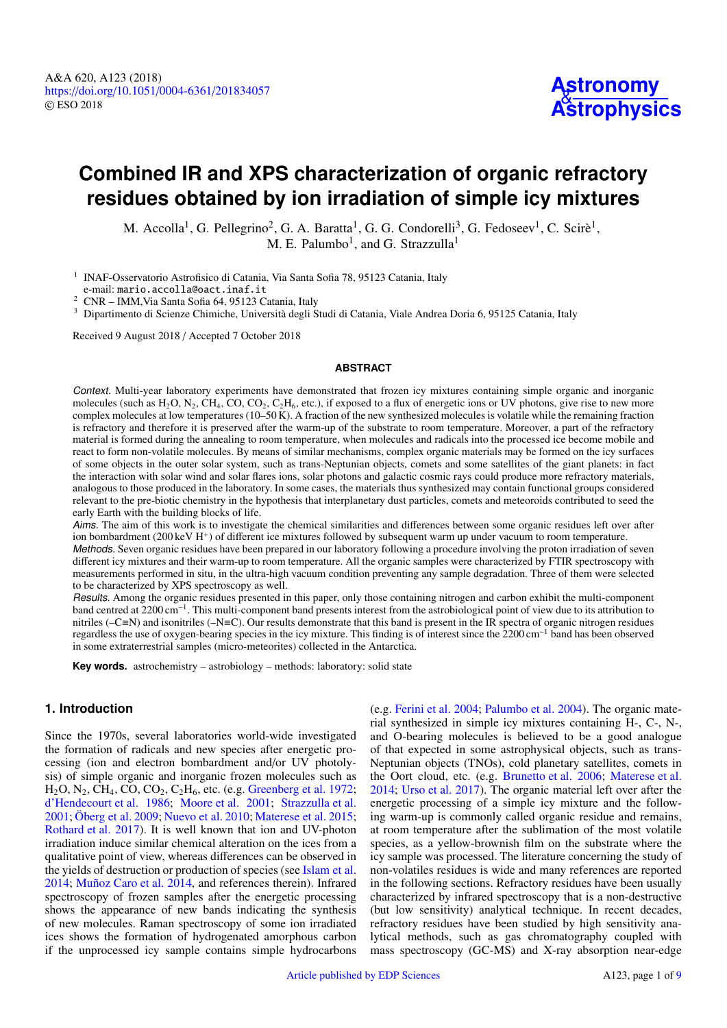# **Combined IR and XPS characterization of organic refractory residues obtained by ion irradiation of simple icy mixtures**

M. Accolla<sup>[1](#page-0-0)</sup>, G. Pellegrino<sup>[2](#page-0-1)</sup>, G. A. Baratta<sup>1</sup>, G. G. Condorelli<sup>[3](#page-0-2)</sup>, G. Fedoseev<sup>1</sup>, C. Scirè<sup>1</sup>, M. E. Palumbo $^1$  $^1$ , and G. Strazzulla $^1$ 

<span id="page-0-0"></span><sup>1</sup> INAF-Osservatorio Astrofisico di Catania, Via Santa Sofia 78, 95123 Catania, Italy e-mail: mario.accolla@oact.inaf.it

<span id="page-0-1"></span><sup>2</sup> CNR – IMM,Via Santa Sofia 64, 95123 Catania, Italy

<span id="page-0-2"></span><sup>3</sup> Dipartimento di Scienze Chimiche, Università degli Studi di Catania, Viale Andrea Doria 6, 95125 Catania, Italy

Received 9 August 2018 / Accepted 7 October 2018

## **ABSTRACT**

Context. Multi-year laboratory experiments have demonstrated that frozen icy mixtures containing simple organic and inorganic molecules (such as  $H_2O$ ,  $N_2$ ,  $CH_4$ ,  $CO$ ,  $CO_2$ ,  $C_2H_6$ , etc.), if exposed to a flux of energetic ions or UV photons, give rise to new more complex molecules at low temperatures (10–50 K). A fraction of the new synthesized molecules is volatile while the remaining fraction is refractory and therefore it is preserved after the warm-up of the substrate to room temperature. Moreover, a part of the refractory material is formed during the annealing to room temperature, when molecules and radicals into the processed ice become mobile and react to form non-volatile molecules. By means of similar mechanisms, complex organic materials may be formed on the icy surfaces of some objects in the outer solar system, such as trans-Neptunian objects, comets and some satellites of the giant planets: in fact the interaction with solar wind and solar flares ions, solar photons and galactic cosmic rays could produce more refractory materials, analogous to those produced in the laboratory. In some cases, the materials thus synthesized may contain functional groups considered relevant to the pre-biotic chemistry in the hypothesis that interplanetary dust particles, comets and meteoroids contributed to seed the early Earth with the building blocks of life.

Aims. The aim of this work is to investigate the chemical similarities and differences between some organic residues left over after ion bombardment (200 keV H<sup>+</sup>) of different ice mixtures followed by subsequent warm up under vacuum to room temperature.

Methods. Seven organic residues have been prepared in our laboratory following a procedure involving the proton irradiation of seven different icy mixtures and their warm-up to room temperature. All the organic samples were characterized by FTIR spectroscopy with measurements performed in situ, in the ultra-high vacuum condition preventing any sample degradation. Three of them were selected to be characterized by XPS spectroscopy as well.

Results. Among the organic residues presented in this paper, only those containing nitrogen and carbon exhibit the multi-component band centred at 2200 cm<sup>-1</sup>. This multi-component band presents interest from the astrobiological point of view due to its attribution to nitriles (–C≡N) and isonitriles (–N≡C). Our results demonstrate that this band is present in the IR spectra of organic nitrogen residues regardless the use of oxygen-bearing species in the icy mixture. This finding is of interest since the 2200 cm<sup>−</sup><sup>1</sup> band has been observed in some extraterrestrial samples (micro-meteorites) collected in the Antarctica.

**Key words.** astrochemistry – astrobiology – methods: laboratory: solid state

## **1. Introduction**

Since the 1970s, several laboratories world-wide investigated the formation of radicals and new species after energetic processing (ion and electron bombardment and/or UV photolysis) of simple organic and inorganic frozen molecules such as  $H<sub>2</sub>O, N<sub>2</sub>, CH<sub>4</sub>, CO, CO<sub>2</sub>, C<sub>2</sub>H<sub>6</sub>, etc. (e.g. Greenberg et al. 1972;$  $H<sub>2</sub>O, N<sub>2</sub>, CH<sub>4</sub>, CO, CO<sub>2</sub>, C<sub>2</sub>H<sub>6</sub>, etc. (e.g. Greenberg et al. 1972;$  $H<sub>2</sub>O, N<sub>2</sub>, CH<sub>4</sub>, CO, CO<sub>2</sub>, C<sub>2</sub>H<sub>6</sub>, etc. (e.g. Greenberg et al. 1972;$  $H<sub>2</sub>O, N<sub>2</sub>, CH<sub>4</sub>, CO, CO<sub>2</sub>, C<sub>2</sub>H<sub>6</sub>, etc. (e.g. Greenberg et al. 1972;$ [d'Hendecourt et al.](#page-8-1) [1986;](#page-8-1) [Moore et al.](#page-8-2) [2001;](#page-8-2) [Strazzulla et al.](#page-8-3) [2001;](#page-8-3) [Öberg et al.](#page-8-4) [2009;](#page-8-4) [Nuevo et al.](#page-8-5) [2010;](#page-8-5) [Materese et al.](#page-8-6) [2015;](#page-8-6) [Rothard et al.](#page-8-7) [2017\)](#page-8-7). It is well known that ion and UV-photon irradiation induce similar chemical alteration on the ices from a qualitative point of view, whereas differences can be observed in the yields of destruction or production of species (see [Islam et al.](#page-8-8) [2014;](#page-8-8) [Muñoz Caro et al.](#page-8-9) [2014,](#page-8-9) and references therein). Infrared spectroscopy of frozen samples after the energetic processing shows the appearance of new bands indicating the synthesis of new molecules. Raman spectroscopy of some ion irradiated ices shows the formation of hydrogenated amorphous carbon if the unprocessed icy sample contains simple hydrocarbons

(e.g. [Ferini et al.](#page-8-10) [2004;](#page-8-10) [Palumbo et al.](#page-8-11) [2004\)](#page-8-11). The organic material synthesized in simple icy mixtures containing H-, C-, N-, and O-bearing molecules is believed to be a good analogue of that expected in some astrophysical objects, such as trans-Neptunian objects (TNOs), cold planetary satellites, comets in the Oort cloud, etc. (e.g. [Brunetto et al.](#page-8-12) [2006;](#page-8-12) [Materese et al.](#page-8-13) [2014;](#page-8-13) [Urso et al.](#page-8-14) [2017\)](#page-8-14). The organic material left over after the energetic processing of a simple icy mixture and the following warm-up is commonly called organic residue and remains, at room temperature after the sublimation of the most volatile species, as a yellow-brownish film on the substrate where the icy sample was processed. The literature concerning the study of non-volatiles residues is wide and many references are reported in the following sections. Refractory residues have been usually characterized by infrared spectroscopy that is a non-destructive (but low sensitivity) analytical technique. In recent decades, refractory residues have been studied by high sensitivity analytical methods, such as gas chromatography coupled with mass spectroscopy (GC-MS) and X-ray absorption near-edge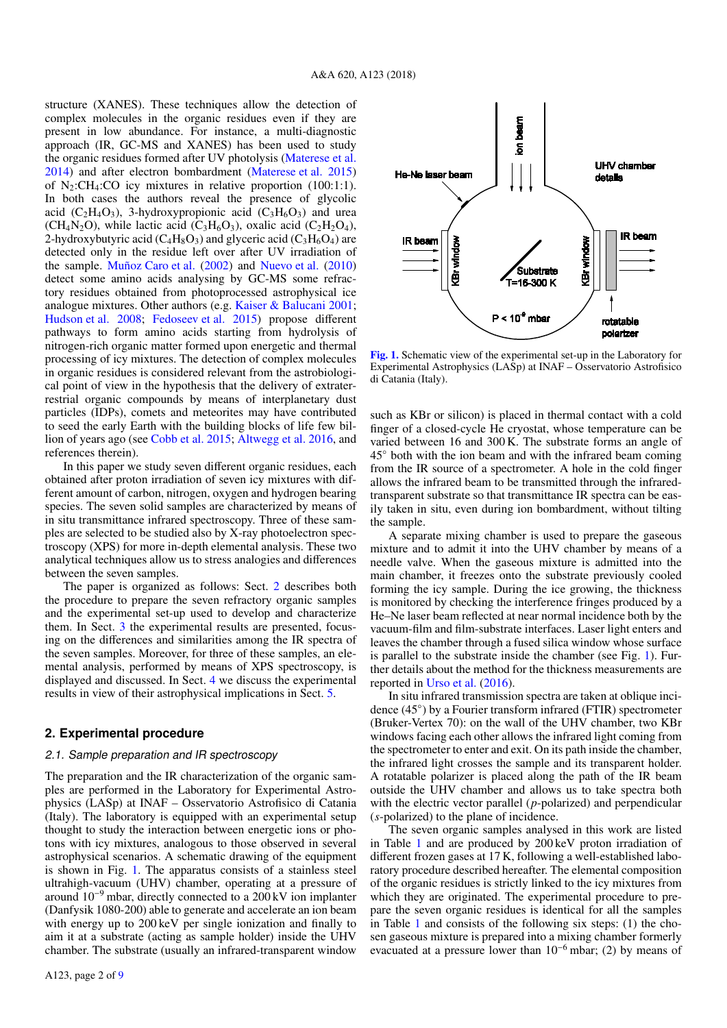structure (XANES). These techniques allow the detection of complex molecules in the organic residues even if they are present in low abundance. For instance, a multi-diagnostic approach (IR, GC-MS and XANES) has been used to study the organic residues formed after UV photolysis [\(Materese et al.](#page-8-13) [2014\)](#page-8-13) and after electron bombardment [\(Materese et al.](#page-8-6) [2015\)](#page-8-6) of  $N_2$ :CH<sub>4</sub>:CO icy mixtures in relative proportion (100:1:1). In both cases the authors reveal the presence of glycolic acid  $(C_2H_4O_3)$ , 3-hydroxypropionic acid  $(C_3H_6O_3)$  and urea (CH<sub>4</sub>N<sub>2</sub>O), while lactic acid (C<sub>3</sub>H<sub>6</sub>O<sub>3</sub>), oxalic acid (C<sub>2</sub>H<sub>2</sub>O<sub>4</sub>), 2-hydroxybutyric acid  $(C_4H_8O_3)$  and glyceric acid  $(C_3H_6O_4)$  are detected only in the residue left over after UV irradiation of the sample. [Muñoz Caro et al.](#page-8-16) [\(2002\)](#page-8-16) and [Nuevo et al.](#page-8-5) [\(2010\)](#page-8-5) detect some amino acids analysing by GC-MS some refractory residues obtained from photoprocessed astrophysical ice analogue mixtures. Other authors (e.g. [Kaiser & Balucani](#page-8-17) [2001;](#page-8-17) [Hudson et al.](#page-8-18) [2008;](#page-8-18) [Fedoseev et al.](#page-8-19) [2015\)](#page-8-19) propose different pathways to form amino acids starting from hydrolysis of nitrogen-rich organic matter formed upon energetic and thermal processing of icy mixtures. The detection of complex molecules in organic residues is considered relevant from the astrobiological point of view in the hypothesis that the delivery of extraterrestrial organic compounds by means of interplanetary dust particles (IDPs), comets and meteorites may have contributed to seed the early Earth with the building blocks of life few billion of years ago (see [Cobb et al.](#page-8-20) [2015;](#page-8-20) [Altwegg et al.](#page-8-21) [2016,](#page-8-21) and references therein).

In this paper we study seven different organic residues, each obtained after proton irradiation of seven icy mixtures with different amount of carbon, nitrogen, oxygen and hydrogen bearing species. The seven solid samples are characterized by means of in situ transmittance infrared spectroscopy. Three of these samples are selected to be studied also by X-ray photoelectron spectroscopy (XPS) for more in-depth elemental analysis. These two analytical techniques allow us to stress analogies and differences between the seven samples.

The paper is organized as follows: Sect. [2](#page-1-0) describes both the procedure to prepare the seven refractory organic samples and the experimental set-up used to develop and characterize them. In Sect. [3](#page-2-0) the experimental results are presented, focusing on the differences and similarities among the IR spectra of the seven samples. Moreover, for three of these samples, an elemental analysis, performed by means of XPS spectroscopy, is displayed and discussed. In Sect. [4](#page-7-0) we discuss the experimental results in view of their astrophysical implications in Sect. [5.](#page-8-22)

## <span id="page-1-0"></span>**2. Experimental procedure**

# 2.1. Sample preparation and IR spectroscopy

The preparation and the IR characterization of the organic samples are performed in the Laboratory for Experimental Astrophysics (LASp) at INAF – Osservatorio Astrofisico di Catania (Italy). The laboratory is equipped with an experimental setup thought to study the interaction between energetic ions or photons with icy mixtures, analogous to those observed in several astrophysical scenarios. A schematic drawing of the equipment is shown in Fig. [1.](#page-1-1) The apparatus consists of a stainless steel ultrahigh-vacuum (UHV) chamber, operating at a pressure of around  $10^{-9}$  mbar, directly connected to a 200 kV ion implanter (Danfysik 1080-200) able to generate and accelerate an ion beam with energy up to 200 keV per single ionization and finally to aim it at a substrate (acting as sample holder) inside the UHV chamber. The substrate (usually an infrared-transparent window



<span id="page-1-1"></span>[Fig. 1.](https://dexter.edpsciences.org/applet.php?DOI=10.1051/0004-6361/201834057&pdf_id=1) Schematic view of the experimental set-up in the Laboratory for Experimental Astrophysics (LASp) at INAF – Osservatorio Astrofisico di Catania (Italy).

such as KBr or silicon) is placed in thermal contact with a cold finger of a closed-cycle He cryostat, whose temperature can be varied between 16 and 300 K. The substrate forms an angle of 45◦ both with the ion beam and with the infrared beam coming from the IR source of a spectrometer. A hole in the cold finger allows the infrared beam to be transmitted through the infraredtransparent substrate so that transmittance IR spectra can be easily taken in situ, even during ion bombardment, without tilting the sample.

A separate mixing chamber is used to prepare the gaseous mixture and to admit it into the UHV chamber by means of a needle valve. When the gaseous mixture is admitted into the main chamber, it freezes onto the substrate previously cooled forming the icy sample. During the ice growing, the thickness is monitored by checking the interference fringes produced by a He–Ne laser beam reflected at near normal incidence both by the vacuum-film and film-substrate interfaces. Laser light enters and leaves the chamber through a fused silica window whose surface is parallel to the substrate inside the chamber (see Fig. [1\)](#page-1-1). Further details about the method for the thickness measurements are reported in [Urso et al.](#page-8-23) [\(2016\)](#page-8-23).

In situ infrared transmission spectra are taken at oblique incidence (45◦ ) by a Fourier transform infrared (FTIR) spectrometer (Bruker-Vertex 70): on the wall of the UHV chamber, two KBr windows facing each other allows the infrared light coming from the spectrometer to enter and exit. On its path inside the chamber, the infrared light crosses the sample and its transparent holder. A rotatable polarizer is placed along the path of the IR beam outside the UHV chamber and allows us to take spectra both with the electric vector parallel (*p*-polarized) and perpendicular (*s*-polarized) to the plane of incidence.

The seven organic samples analysed in this work are listed in Table [1](#page-2-1) and are produced by 200 keV proton irradiation of different frozen gases at 17 K, following a well-established laboratory procedure described hereafter. The elemental composition of the organic residues is strictly linked to the icy mixtures from which they are originated. The experimental procedure to prepare the seven organic residues is identical for all the samples in Table [1](#page-2-1) and consists of the following six steps: (1) the chosen gaseous mixture is prepared into a mixing chamber formerly evacuated at a pressure lower than  $10^{-6}$  mbar; (2) by means of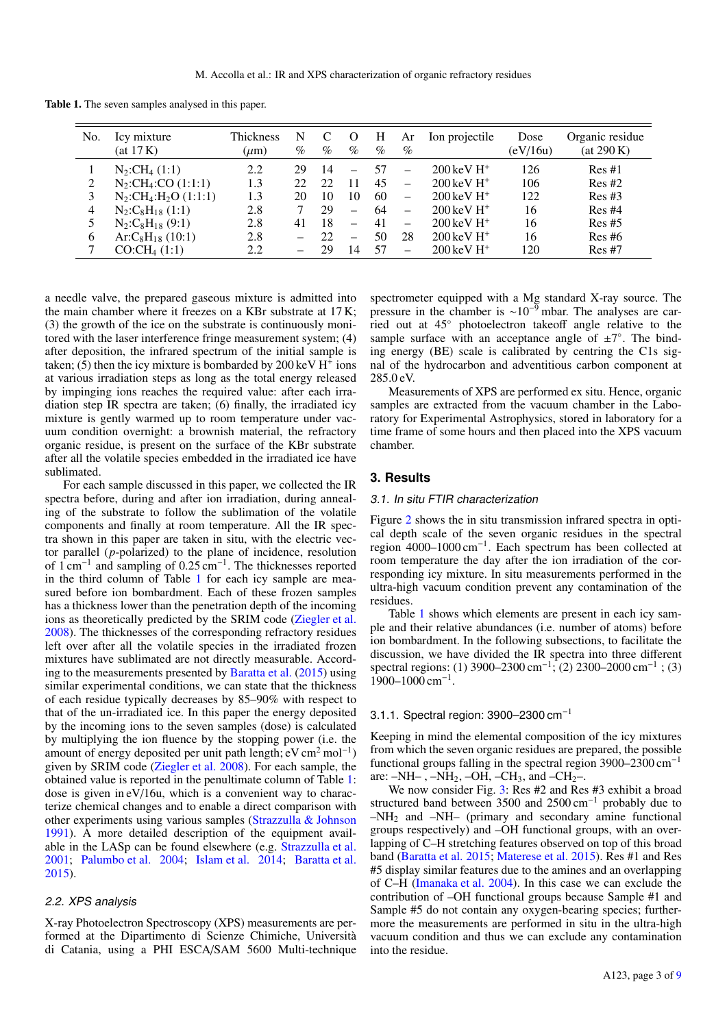Table 1. The seven samples analysed in this paper.

<span id="page-2-1"></span>

| No.           | Icy mixture<br>(at 17 K)                         | Thickness<br>$(\mu m)$ | N<br>% | $\%$ | $\%$                     | Н<br>$\%$ | Ar<br>$\%$               | Ion projectile                      | Dose<br>(eV/16u) | Organic residue<br>(at 290 K) |
|---------------|--------------------------------------------------|------------------------|--------|------|--------------------------|-----------|--------------------------|-------------------------------------|------------------|-------------------------------|
|               | $N_2:CH_4(1:1)$                                  | 2.2                    | 29     | 14   |                          | 57        | -                        | $200 \,\mathrm{keV} \,\mathrm{H}^+$ | 126              | Res#1                         |
|               | $N_2:CH_4:CO(1:1:1)$                             | 1.3                    | 22.    | 22   |                          | 45        | $\overline{\phantom{0}}$ | $200 \,\mathrm{keV} \,\mathrm{H}^+$ | 106              | Res#2                         |
|               | $N_2$ :CH <sub>4</sub> :H <sub>2</sub> O (1:1:1) | 1.3                    | 20     | 10   | 10                       | 60        | $\overline{\phantom{0}}$ | $200 \,\mathrm{keV} \,\mathrm{H}^+$ | 122              | Res#3                         |
| 4             | $N_2:C_8H_{18}(1:1)$                             | 2.8                    |        | 29   | $\overline{\phantom{0}}$ | 64        | $\overline{\phantom{0}}$ | $200 \,\mathrm{keV} \,\mathrm{H}^+$ | 16               | Res#4                         |
|               | $N_2:C_8H_{18}(9:1)$                             | 2.8                    | 41     | 18   | —                        | 41        | $\overline{\phantom{0}}$ | $200 \,\mathrm{keV} \,\mathrm{H}^+$ | 16               | Res#5                         |
| 6             | $Ar:C_8H_{18}(10:1)$                             | 2.8                    |        | 22.  | —                        | 50        | 28                       | $200 \,\mathrm{keV} \,\mathrm{H}^+$ | 16               | Res#6                         |
| $\mathcal{I}$ | CO:CH <sub>4</sub> (1:1)                         | 2.2                    |        | 29   | 14                       | .57       | —                        | $200 \,\mathrm{keV} \,\mathrm{H}^+$ | 120              | Res#7                         |

a needle valve, the prepared gaseous mixture is admitted into the main chamber where it freezes on a KBr substrate at 17 K; (3) the growth of the ice on the substrate is continuously monitored with the laser interference fringe measurement system; (4) after deposition, the infrared spectrum of the initial sample is taken; (5) then the icy mixture is bombarded by 200 keV  $H^{\dagger}$  ions at various irradiation steps as long as the total energy released by impinging ions reaches the required value: after each irradiation step IR spectra are taken; (6) finally, the irradiated icy mixture is gently warmed up to room temperature under vacuum condition overnight: a brownish material, the refractory organic residue, is present on the surface of the KBr substrate after all the volatile species embedded in the irradiated ice have sublimated.

For each sample discussed in this paper, we collected the IR spectra before, during and after ion irradiation, during annealing of the substrate to follow the sublimation of the volatile components and finally at room temperature. All the IR spectra shown in this paper are taken in situ, with the electric vector parallel (*p*-polarized) to the plane of incidence, resolution of 1 cm<sup>−</sup><sup>1</sup> and sampling of 0.25 cm<sup>−</sup><sup>1</sup> . The thicknesses reported in the third column of Table [1](#page-2-1) for each icy sample are measured before ion bombardment. Each of these frozen samples has a thickness lower than the penetration depth of the incoming ions as theoretically predicted by the SRIM code [\(Ziegler et al.](#page-8-24) [2008\)](#page-8-24). The thicknesses of the corresponding refractory residues left over after all the volatile species in the irradiated frozen mixtures have sublimated are not directly measurable. According to the measurements presented by [Baratta et al.](#page-8-25) [\(2015\)](#page-8-25) using similar experimental conditions, we can state that the thickness of each residue typically decreases by 85–90% with respect to that of the un-irradiated ice. In this paper the energy deposited by the incoming ions to the seven samples (dose) is calculated by multiplying the ion fluence by the stopping power (i.e. the amount of energy deposited per unit path length; eV cm<sup>2</sup> mol<sup>-1</sup>) given by SRIM code [\(Ziegler et al.](#page-8-24) [2008\)](#page-8-24). For each sample, the obtained value is reported in the penultimate column of Table [1:](#page-2-1) dose is given in eV/16u, which is a convenient way to characterize chemical changes and to enable a direct comparison with other experiments using various samples [\(Strazzulla & Johnson](#page-8-26) [1991\)](#page-8-26). A more detailed description of the equipment available in the LASp can be found elsewhere (e.g. [Strazzulla et al.](#page-8-3) [2001;](#page-8-3) [Palumbo et al.](#page-8-11) [2004;](#page-8-11) [Islam et al.](#page-8-8) [2014;](#page-8-8) [Baratta et al.](#page-8-25) [2015\)](#page-8-25).

## 2.2. XPS analysis

X-ray Photoelectron Spectroscopy (XPS) measurements are performed at the Dipartimento di Scienze Chimiche, Università di Catania, using a PHI ESCA/SAM 5600 Multi-technique spectrometer equipped with a Mg standard X-ray source. The pressure in the chamber is  $\sim 10^{-9}$  mbar. The analyses are carried out at 45◦ photoelectron takeoff angle relative to the sample surface with an acceptance angle of  $\pm 7^{\circ}$ . The binding energy (BE) scale is calibrated by centring the C1s signal of the hydrocarbon and adventitious carbon component at 285.0 eV.

Measurements of XPS are performed ex situ. Hence, organic samples are extracted from the vacuum chamber in the Laboratory for Experimental Astrophysics, stored in laboratory for a time frame of some hours and then placed into the XPS vacuum chamber.

## <span id="page-2-0"></span>**3. Results**

#### 3.1. In situ FTIR characterization

Figure [2](#page-3-0) shows the in situ transmission infrared spectra in optical depth scale of the seven organic residues in the spectral region 4000–1000 cm<sup>−</sup><sup>1</sup> . Each spectrum has been collected at room temperature the day after the ion irradiation of the corresponding icy mixture. In situ measurements performed in the ultra-high vacuum condition prevent any contamination of the residues.

Table [1](#page-2-1) shows which elements are present in each icy sample and their relative abundances (i.e. number of atoms) before ion bombardment. In the following subsections, to facilitate the discussion, we have divided the IR spectra into three different spectral regions: (1) 3900–2300 cm<sup>-1</sup>; (2) 2300–2000 cm<sup>-1</sup>; (3) 1900–1000 cm<sup>-1</sup>.

### 3.1.1. Spectral region: 3900–2300 cm−<sup>1</sup>

Keeping in mind the elemental composition of the icy mixtures from which the seven organic residues are prepared, the possible functional groups falling in the spectral region  $3900-2300$  cm<sup>-1</sup> are:  $-NH_{-}$ ,  $-NH_{2}$ ,  $-OH$ ,  $-CH_{3}$ , and  $-CH_{2}$ -.

We now consider Fig. [3:](#page-3-1) Res #2 and Res #3 exhibit a broad structured band between 3500 and 2500 cm<sup>−</sup><sup>1</sup> probably due to  $-NH<sub>2</sub>$  and  $-NH<sub>-</sub>$  (primary and secondary amine functional groups respectively) and –OH functional groups, with an overlapping of C–H stretching features observed on top of this broad band [\(Baratta et al.](#page-8-25) [2015;](#page-8-25) [Materese et al.](#page-8-6) [2015\)](#page-8-6). Res #1 and Res #5 display similar features due to the amines and an overlapping of C–H [\(Imanaka et al.](#page-8-27) [2004\)](#page-8-27). In this case we can exclude the contribution of –OH functional groups because Sample #1 and Sample #5 do not contain any oxygen-bearing species; furthermore the measurements are performed in situ in the ultra-high vacuum condition and thus we can exclude any contamination into the residue.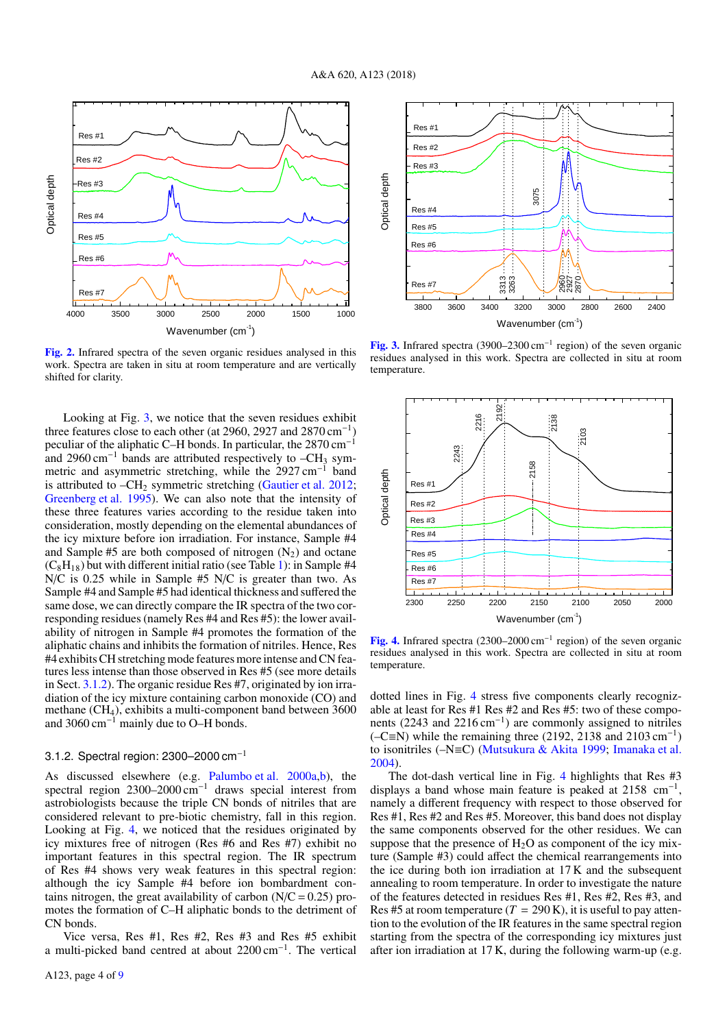

<span id="page-3-0"></span>[Fig. 2.](https://dexter.edpsciences.org/applet.php?DOI=10.1051/0004-6361/201834057&pdf_id=2) Infrared spectra of the seven organic residues analysed in this work. Spectra are taken in situ at room temperature and are vertically shifted for clarity.

Looking at Fig. [3,](#page-3-1) we notice that the seven residues exhibit three features close to each other (at 2960, 2927 and 2870 cm<sup>−</sup><sup>1</sup> ) peculiar of the aliphatic C–H bonds. In particular, the 2870 cm<sup>-1</sup> and 2960 cm<sup>-1</sup> bands are attributed respectively to  $-CH_3$  symmetric and asymmetric stretching, while the 2927 cm<sup>−</sup><sup>1</sup> band is attributed to  $-CH_2$  symmetric stretching [\(Gautier et al.](#page-8-28) [2012;](#page-8-28) [Greenberg et al.](#page-8-29) [1995\)](#page-8-29). We can also note that the intensity of these three features varies according to the residue taken into consideration, mostly depending on the elemental abundances of the icy mixture before ion irradiation. For instance, Sample #4 and Sample  $#5$  are both composed of nitrogen  $(N_2)$  and octane  $(C_8H_{18})$  but with different initial ratio (see Table [1\)](#page-2-1): in Sample #4 N/C is 0.25 while in Sample #5 N/C is greater than two. As Sample #4 and Sample #5 had identical thickness and suffered the same dose, we can directly compare the IR spectra of the two corresponding residues (namely Res #4 and Res #5): the lower availability of nitrogen in Sample #4 promotes the formation of the aliphatic chains and inhibits the formation of nitriles. Hence, Res #4 exhibits CH stretching mode features more intense and CN features less intense than those observed in Res #5 (see more details in Sect. [3.1.2\)](#page-3-2). The organic residue Res #7, originated by ion irradiation of the icy mixture containing carbon monoxide (CO) and methane (CH<sub>4</sub>), exhibits a multi-component band between 3600 and 3060 cm<sup>−</sup><sup>1</sup> mainly due to O–H bonds.

### <span id="page-3-2"></span>3.1.2. Spectral region: 2300–2000 cm−<sup>1</sup>

As discussed elsewhere (e.g. [Palumbo et al.](#page-8-30) [2000a,](#page-8-30)[b\)](#page-8-31), the spectral region 2300–2000 cm<sup>-1</sup> draws special interest from astrobiologists because the triple CN bonds of nitriles that are considered relevant to pre-biotic chemistry, fall in this region. Looking at Fig. [4,](#page-3-3) we noticed that the residues originated by icy mixtures free of nitrogen (Res #6 and Res #7) exhibit no important features in this spectral region. The IR spectrum of Res #4 shows very weak features in this spectral region: although the icy Sample #4 before ion bombardment contains nitrogen, the great availability of carbon  $(N/C = 0.25)$  promotes the formation of C–H aliphatic bonds to the detriment of CN bonds.

Vice versa, Res #1, Res #2, Res #3 and Res #5 exhibit a multi-picked band centred at about 2200 cm<sup>-1</sup>. The vertical



<span id="page-3-1"></span>[Fig. 3.](https://dexter.edpsciences.org/applet.php?DOI=10.1051/0004-6361/201834057&pdf_id=3) Infrared spectra (3900–2300 cm<sup>-1</sup> region) of the seven organic residues analysed in this work. Spectra are collected in situ at room temperature.



<span id="page-3-3"></span>[Fig. 4.](https://dexter.edpsciences.org/applet.php?DOI=10.1051/0004-6361/201834057&pdf_id=4) Infrared spectra (2300–2000 cm<sup>−</sup><sup>1</sup> region) of the seven organic residues analysed in this work. Spectra are collected in situ at room temperature.

dotted lines in Fig. [4](#page-3-3) stress five components clearly recognizable at least for Res #1 Res #2 and Res #5: two of these components (2243 and 2216 cm<sup>-1</sup>) are commonly assigned to nitriles ( $-C \equiv N$ ) while the remaining three (2192, 2138 and 2103 cm<sup>-1</sup>) to isonitriles (–N≡C) [\(Mutsukura & Akita](#page-8-32) [1999;](#page-8-32) [Imanaka et al.](#page-8-27) [2004\)](#page-8-27).

The dot-dash vertical line in Fig. [4](#page-3-3) highlights that Res #3 displays a band whose main feature is peaked at 2158 cm<sup>-1</sup>, namely a different frequency with respect to those observed for Res #1, Res #2 and Res #5. Moreover, this band does not display the same components observed for the other residues. We can suppose that the presence of  $H_2O$  as component of the icy mixture (Sample #3) could affect the chemical rearrangements into the ice during both ion irradiation at 17 K and the subsequent annealing to room temperature. In order to investigate the nature of the features detected in residues Res #1, Res #2, Res #3, and Res #5 at room temperature  $(T = 290 \text{ K})$ , it is useful to pay attention to the evolution of the IR features in the same spectral region starting from the spectra of the corresponding icy mixtures just after ion irradiation at 17 K, during the following warm-up (e.g.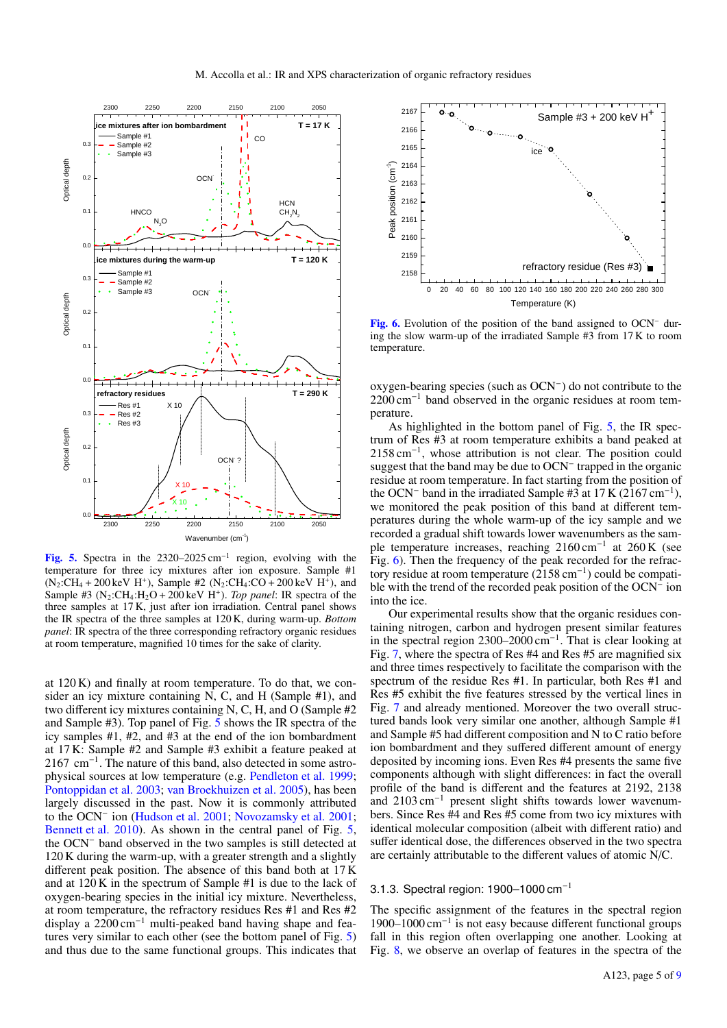

<span id="page-4-0"></span>[Fig. 5.](https://dexter.edpsciences.org/applet.php?DOI=10.1051/0004-6361/201834057&pdf_id=5) Spectra in the  $2320-2025$  cm<sup>-1</sup> region, evolving with the temperature for three icy mixtures after ion exposure. Sample #1  $(N_2:CH_4 + 200 \text{ keV H}^+)$ , Sample #2  $(N_2:CH_4:CO + 200 \text{ keV H}^+)$ , and Sample #3 ( $N_2$ :CH<sub>4</sub>:H<sub>2</sub>O + 200 keV H<sup>+</sup>). *Top panel*: IR spectra of the three samples at 17 K, just after ion irradiation. Central panel shows the IR spectra of the three samples at 120 K, during warm-up. *Bottom panel*: IR spectra of the three corresponding refractory organic residues at room temperature, magnified 10 times for the sake of clarity.

at 120 K) and finally at room temperature. To do that, we consider an icy mixture containing N, C, and H (Sample #1), and two different icy mixtures containing N, C, H, and O (Sample #2 and Sample #3). Top panel of Fig. [5](#page-4-0) shows the IR spectra of the icy samples #1, #2, and #3 at the end of the ion bombardment at 17 K: Sample #2 and Sample #3 exhibit a feature peaked at 2167 cm<sup>-1</sup>. The nature of this band, also detected in some astrophysical sources at low temperature (e.g. [Pendleton et al.](#page-8-33) [1999;](#page-8-33) [Pontoppidan et al.](#page-8-34) [2003;](#page-8-34) [van Broekhuizen et al.](#page-8-35) [2005\)](#page-8-35), has been largely discussed in the past. Now it is commonly attributed to the OCN<sup>−</sup> ion [\(Hudson et al.](#page-8-36) [2001;](#page-8-36) [Novozamsky et al.](#page-8-37) [2001;](#page-8-37) [Bennett et al.](#page-8-38) [2010\)](#page-8-38). As shown in the central panel of Fig. [5,](#page-4-0) the OCN<sup>−</sup> band observed in the two samples is still detected at 120 K during the warm-up, with a greater strength and a slightly different peak position. The absence of this band both at 17 K and at 120 K in the spectrum of Sample #1 is due to the lack of oxygen-bearing species in the initial icy mixture. Nevertheless, at room temperature, the refractory residues Res #1 and Res #2 display a 2200 cm<sup>−</sup><sup>1</sup> multi-peaked band having shape and features very similar to each other (see the bottom panel of Fig. [5\)](#page-4-0) and thus due to the same functional groups. This indicates that



<span id="page-4-1"></span>[Fig. 6.](https://dexter.edpsciences.org/applet.php?DOI=10.1051/0004-6361/201834057&pdf_id=6) Evolution of the position of the band assigned to OCN<sup>−</sup> during the slow warm-up of the irradiated Sample #3 from 17 K to room temperature.

oxygen-bearing species (such as OCN<sup>−</sup> ) do not contribute to the 2200 cm<sup>-1</sup> band observed in the organic residues at room temperature.

As highlighted in the bottom panel of Fig. [5,](#page-4-0) the IR spectrum of Res #3 at room temperature exhibits a band peaked at 2158 cm<sup>-1</sup>, whose attribution is not clear. The position could suggest that the band may be due to OCN<sup>−</sup> trapped in the organic residue at room temperature. In fact starting from the position of the OCN<sup>-</sup> band in the irradiated Sample #3 at 17 K (2167 cm<sup>-1</sup>), we monitored the peak position of this band at different temperatures during the whole warm-up of the icy sample and we recorded a gradual shift towards lower wavenumbers as the sample temperature increases, reaching 2160 cm<sup>-1</sup> at 260 K (see Fig. [6\)](#page-4-1). Then the frequency of the peak recorded for the refractory residue at room temperature (2158 cm<sup>−</sup><sup>1</sup> ) could be compatible with the trend of the recorded peak position of the OCN<sup>−</sup> ion into the ice.

Our experimental results show that the organic residues containing nitrogen, carbon and hydrogen present similar features in the spectral region 2300–2000 cm<sup>−</sup><sup>1</sup> . That is clear looking at Fig. [7,](#page-5-0) where the spectra of Res #4 and Res #5 are magnified six and three times respectively to facilitate the comparison with the spectrum of the residue Res #1. In particular, both Res #1 and Res #5 exhibit the five features stressed by the vertical lines in Fig. [7](#page-5-0) and already mentioned. Moreover the two overall structured bands look very similar one another, although Sample #1 and Sample #5 had different composition and N to C ratio before ion bombardment and they suffered different amount of energy deposited by incoming ions. Even Res #4 presents the same five components although with slight differences: in fact the overall profile of the band is different and the features at 2192, 2138 and 2103 cm<sup>−</sup><sup>1</sup> present slight shifts towards lower wavenumbers. Since Res #4 and Res #5 come from two icy mixtures with identical molecular composition (albeit with different ratio) and suffer identical dose, the differences observed in the two spectra are certainly attributable to the different values of atomic N/C.

#### 3.1.3. Spectral region:  $1900-1000$  cm<sup>-1</sup>

The specific assignment of the features in the spectral region 1900–1000 cm<sup>−</sup><sup>1</sup> is not easy because different functional groups fall in this region often overlapping one another. Looking at Fig. [8,](#page-5-1) we observe an overlap of features in the spectra of the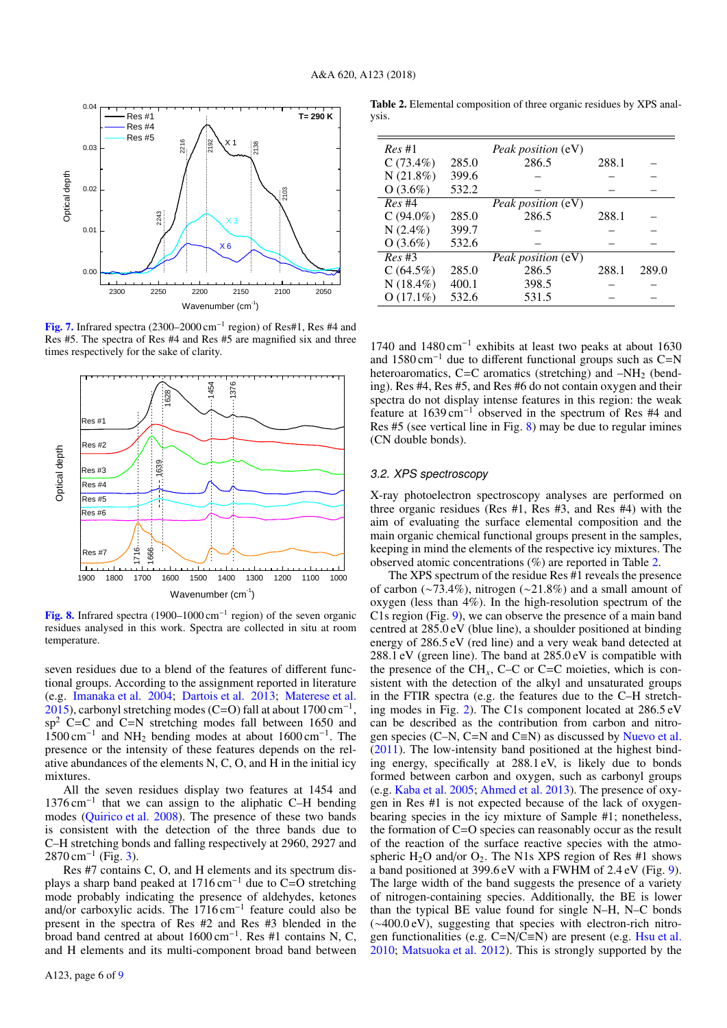

<span id="page-5-0"></span>[Fig. 7.](https://dexter.edpsciences.org/applet.php?DOI=10.1051/0004-6361/201834057&pdf_id=7) Infrared spectra (2300–2000 cm<sup>-1</sup> region) of Res#1, Res #4 and Res #5. The spectra of Res #4 and Res #5 are magnified six and three times respectively for the sake of clarity.



<span id="page-5-1"></span>[Fig. 8.](https://dexter.edpsciences.org/applet.php?DOI=10.1051/0004-6361/201834057&pdf_id=8) Infrared spectra (1900–1000 cm<sup>-1</sup> region) of the seven organic residues analysed in this work. Spectra are collected in situ at room temperature.

seven residues due to a blend of the features of different functional groups. According to the assignment reported in literature (e.g. [Imanaka et al.](#page-8-27) [2004;](#page-8-27) [Dartois et al.](#page-8-39) [2013;](#page-8-39) [Materese et al.](#page-8-6)  $2015$ ), carbonyl stretching modes (C=O) fall at about 1700 cm<sup>-1</sup>,  $sp<sup>2</sup>$  C=C and C=N stretching modes fall between 1650 and 1500 cm<sup>−</sup><sup>1</sup> and NH<sup>2</sup> bending modes at about 1600 cm<sup>−</sup><sup>1</sup> . The presence or the intensity of these features depends on the relative abundances of the elements N, C, O, and H in the initial icy mixtures.

All the seven residues display two features at 1454 and 1376 cm<sup>−</sup><sup>1</sup> that we can assign to the aliphatic C–H bending modes [\(Quirico et al.](#page-8-40) [2008\)](#page-8-40). The presence of these two bands is consistent with the detection of the three bands due to C–H stretching bonds and falling respectively at 2960, 2927 and  $2870 \text{ cm}^{-1}$  (Fig. [3\)](#page-3-1).

Res #7 contains C, O, and H elements and its spectrum displays a sharp band peaked at  $1716 \text{ cm}^{-1}$  due to C=O stretching mode probably indicating the presence of aldehydes, ketones and/or carboxylic acids. The 1716 cm<sup>−</sup><sup>1</sup> feature could also be present in the spectra of Res #2 and Res #3 blended in the broad band centred at about 1600 cm<sup>−</sup><sup>1</sup> . Res #1 contains N, C, and H elements and its multi-component broad band between

<span id="page-5-2"></span>Table 2. Elemental composition of three organic residues by XPS analysis.

| Res#1       |       | <i>Peak position</i> (eV) |       |       |
|-------------|-------|---------------------------|-------|-------|
| $C(73.4\%)$ | 285.0 | 286.5                     | 288.1 |       |
| N(21.8%)    | 399.6 |                           |       |       |
| $O(3.6\%)$  | 532.2 |                           |       |       |
| Res#4       |       | <i>Peak position</i> (eV) |       |       |
| $C(94.0\%)$ | 285.0 | 286.5                     | 288.1 |       |
| $N(2.4\%)$  | 399.7 |                           |       |       |
| $O(3.6\%)$  | 532.6 |                           |       |       |
| Res#3       |       | Peak position (eV)        |       |       |
| C(64.5%)    | 285.0 | 286.5                     | 288.1 | 289.0 |
| $N(18.4\%)$ | 400.1 | 398.5                     |       |       |
| $O(17.1\%)$ | 532.6 | 531.5                     |       |       |

1740 and 1480 cm−<sup>1</sup> exhibits at least two peaks at about 1630 and 1580 cm<sup>-1</sup> due to different functional groups such as  $C=N$ heteroaromatics, C=C aromatics (stretching) and  $-NH<sub>2</sub>$  (bending). Res #4, Res #5, and Res #6 do not contain oxygen and their spectra do not display intense features in this region: the weak feature at 1639 cm<sup>−</sup><sup>1</sup> observed in the spectrum of Res #4 and Res #5 (see vertical line in Fig. [8\)](#page-5-1) may be due to regular imines (CN double bonds).

#### 3.2. XPS spectroscopy

X-ray photoelectron spectroscopy analyses are performed on three organic residues (Res #1, Res #3, and Res #4) with the aim of evaluating the surface elemental composition and the main organic chemical functional groups present in the samples, keeping in mind the elements of the respective icy mixtures. The observed atomic concentrations (%) are reported in Table [2.](#page-5-2)

The XPS spectrum of the residue Res #1 reveals the presence of carbon (∼73.4%), nitrogen (∼21.8%) and a small amount of oxygen (less than 4%). In the high-resolution spectrum of the C1s region (Fig. [9\)](#page-6-0), we can observe the presence of a main band centred at 285.0 eV (blue line), a shoulder positioned at binding energy of 286.5 eV (red line) and a very weak band detected at 288.1 eV (green line). The band at 285.0 eV is compatible with the presence of the  $CH<sub>x</sub>$ , C–C or C=C moieties, which is consistent with the detection of the alkyl and unsaturated groups in the FTIR spectra (e.g. the features due to the C–H stretching modes in Fig. [2\)](#page-3-0). The C1s component located at 286.5 eV can be described as the contribution from carbon and nitrogen species (C–N, C=N and C≡N) as discussed by [Nuevo et al.](#page-8-41) [\(2011\)](#page-8-41). The low-intensity band positioned at the highest binding energy, specifically at 288.1 eV, is likely due to bonds formed between carbon and oxygen, such as carbonyl groups (e.g. [Kaba et al.](#page-8-42) [2005;](#page-8-42) [Ahmed et al.](#page-8-43) [2013\)](#page-8-43). The presence of oxygen in Res #1 is not expected because of the lack of oxygenbearing species in the icy mixture of Sample #1; nonetheless, the formation of C=O species can reasonably occur as the result of the reaction of the surface reactive species with the atmospheric  $H_2O$  and/or  $O_2$ . The N1s XPS region of Res #1 shows a band positioned at 399.6 eV with a FWHM of 2.4 eV (Fig. [9\)](#page-6-0). The large width of the band suggests the presence of a variety of nitrogen-containing species. Additionally, the BE is lower than the typical BE value found for single N–H, N–C bonds (∼400.0 eV), suggesting that species with electron-rich nitrogen functionalities (e.g. C=N/C≡N) are present (e.g. [Hsu et al.](#page-8-44) [2010;](#page-8-44) [Matsuoka et al.](#page-8-45) [2012\)](#page-8-45). This is strongly supported by the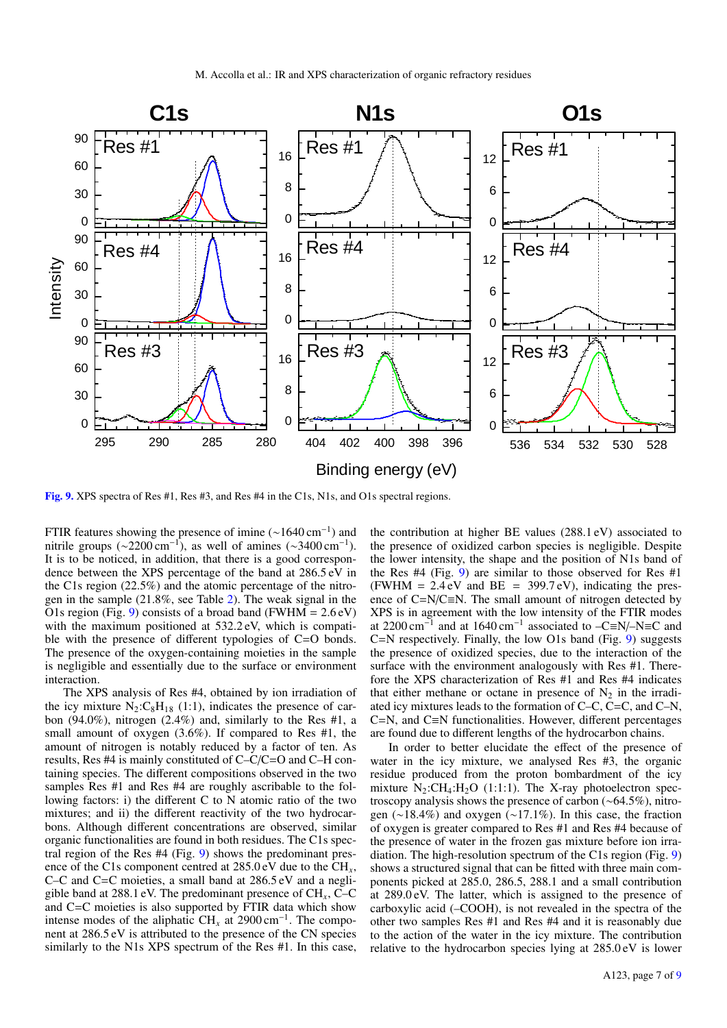

<span id="page-6-0"></span>[Fig. 9.](https://dexter.edpsciences.org/applet.php?DOI=10.1051/0004-6361/201834057&pdf_id=9) XPS spectra of Res #1, Res #3, and Res #4 in the C1s, N1s, and O1s spectral regions.

FTIR features showing the presence of imine  $(\sim 1640 \text{ cm}^{-1})$  and nitrile groups (~2200 cm<sup>-1</sup>), as well of amines (~3400 cm<sup>-1</sup>). It is to be noticed, in addition, that there is a good correspondence between the XPS percentage of the band at 286.5 eV in the C1s region (22.5%) and the atomic percentage of the nitrogen in the sample (21.8%, see Table [2\)](#page-5-2). The weak signal in the O1s region (Fig. [9\)](#page-6-0) consists of a broad band (FWHM =  $2.6 \text{ eV}$ ) with the maximum positioned at  $532.2 \text{ eV}$ , which is compatible with the presence of different typologies of C=O bonds. The presence of the oxygen-containing moieties in the sample is negligible and essentially due to the surface or environment interaction.

The XPS analysis of Res #4, obtained by ion irradiation of the icy mixture  $N_2:C_8H_{18}$  (1:1), indicates the presence of carbon (94.0%), nitrogen (2.4%) and, similarly to the Res #1, a small amount of oxygen (3.6%). If compared to Res #1, the amount of nitrogen is notably reduced by a factor of ten. As results, Res #4 is mainly constituted of C–C/C=O and C–H containing species. The different compositions observed in the two samples Res #1 and Res #4 are roughly ascribable to the following factors: i) the different C to N atomic ratio of the two mixtures; and ii) the different reactivity of the two hydrocarbons. Although different concentrations are observed, similar organic functionalities are found in both residues. The C1s spectral region of the Res #4 (Fig. [9\)](#page-6-0) shows the predominant presence of the C1s component centred at 285.0 eV due to the CH<sub>r</sub>, C–C and C=C moieties, a small band at 286.5 eV and a negligible band at 288.1 eV. The predominant presence of CH*x*, C–C and C=C moieties is also supported by FTIR data which show intense modes of the aliphatic CH<sub>x</sub> at 2900 cm<sup>-1</sup>. The component at 286.5 eV is attributed to the presence of the CN species similarly to the N1s XPS spectrum of the Res #1. In this case,

the contribution at higher BE values (288.1 eV) associated to the presence of oxidized carbon species is negligible. Despite the lower intensity, the shape and the position of N1s band of the Res #4 (Fig. [9\)](#page-6-0) are similar to those observed for Res #1 (FWHM =  $2.4 \text{ eV}$  and BE = 399.7 eV), indicating the presence of C=N/C≡N. The small amount of nitrogen detected by XPS is in agreement with the low intensity of the FTIR modes at 2200 cm<sup>-1</sup> and at 1640 cm<sup>-1</sup> associated to -C≡N/-N≡C and C=N respectively. Finally, the low O1s band (Fig. [9\)](#page-6-0) suggests the presence of oxidized species, due to the interaction of the surface with the environment analogously with Res #1. Therefore the XPS characterization of Res #1 and Res #4 indicates that either methane or octane in presence of  $N_2$  in the irradiated icy mixtures leads to the formation of C–C, C=C, and C–N, C=N, and C≡N functionalities. However, different percentages are found due to different lengths of the hydrocarbon chains.

In order to better elucidate the effect of the presence of water in the icy mixture, we analysed Res #3, the organic residue produced from the proton bombardment of the icy mixture  $N_2$ :CH<sub>4</sub>:H<sub>2</sub>O (1:1:1). The X-ray photoelectron spectroscopy analysis shows the presence of carbon (∼64.5%), nitrogen (∼18.4%) and oxygen (∼17.1%). In this case, the fraction of oxygen is greater compared to Res #1 and Res #4 because of the presence of water in the frozen gas mixture before ion irradiation. The high-resolution spectrum of the C1s region (Fig. [9\)](#page-6-0) shows a structured signal that can be fitted with three main components picked at 285.0, 286.5, 288.1 and a small contribution at 289.0 eV. The latter, which is assigned to the presence of carboxylic acid (–COOH), is not revealed in the spectra of the other two samples Res #1 and Res #4 and it is reasonably due to the action of the water in the icy mixture. The contribution relative to the hydrocarbon species lying at 285.0 eV is lower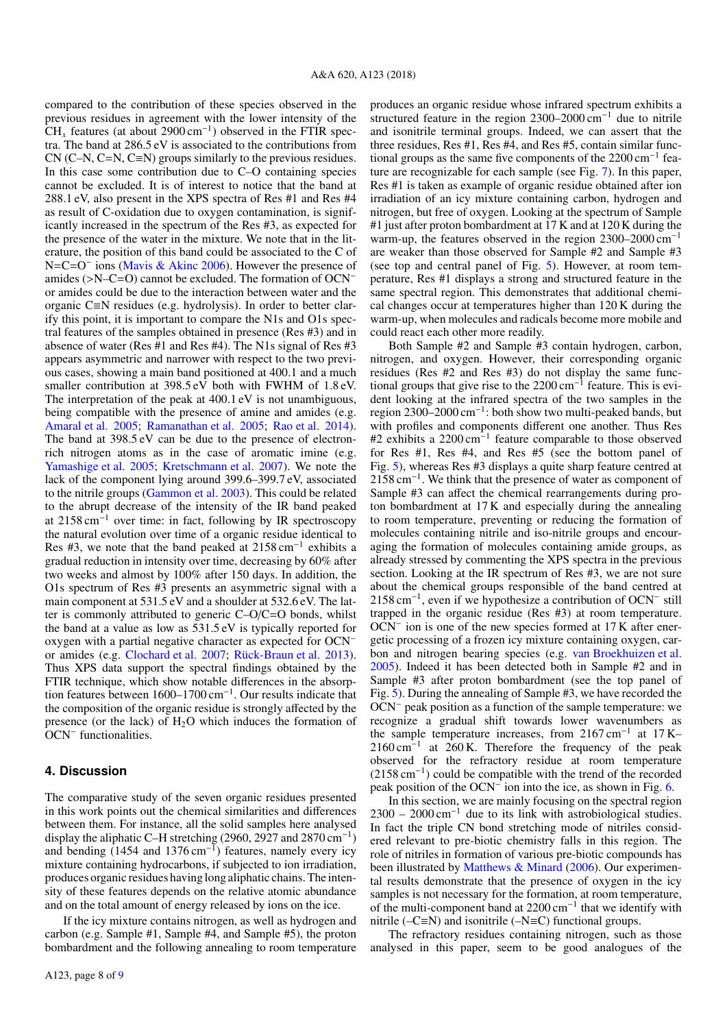compared to the contribution of these species observed in the previous residues in agreement with the lower intensity of the  $CH<sub>x</sub>$  features (at about 2900 cm<sup>-1</sup>) observed in the FTIR spectra. The band at 286.5 eV is associated to the contributions from  $CN (C-N, C=N, C=N)$  groups similarly to the previous residues. In this case some contribution due to C–O containing species cannot be excluded. It is of interest to notice that the band at 288.1 eV, also present in the XPS spectra of Res #1 and Res #4 as result of C-oxidation due to oxygen contamination, is significantly increased in the spectrum of the Res #3, as expected for the presence of the water in the mixture. We note that in the literature, the position of this band could be associated to the C of N=C=O<sup>-</sup> ions [\(Mavis & Akinc](#page-8-46) [2006\)](#page-8-46). However the presence of amides (>N–C=O) cannot be excluded. The formation of OCN<sup>−</sup> or amides could be due to the interaction between water and the organic C≡N residues (e.g. hydrolysis). In order to better clarify this point, it is important to compare the N1s and O1s spectral features of the samples obtained in presence (Res #3) and in absence of water (Res #1 and Res #4). The N1s signal of Res #3 appears asymmetric and narrower with respect to the two previous cases, showing a main band positioned at 400.1 and a much smaller contribution at 398.5 eV both with FWHM of 1.8 eV. The interpretation of the peak at 400.1 eV is not unambiguous, being compatible with the presence of amine and amides (e.g. [Amaral et al.](#page-8-47) [2005;](#page-8-47) [Ramanathan et al.](#page-8-48) [2005;](#page-8-48) [Rao et al.](#page-8-49) [2014\)](#page-8-49). The band at 398.5 eV can be due to the presence of electronrich nitrogen atoms as in the case of aromatic imine (e.g. [Yamashige et al.](#page-8-50) [2005;](#page-8-50) [Kretschmann et al.](#page-8-51) [2007\)](#page-8-51). We note the lack of the component lying around 399.6–399.7 eV, associated to the nitrile groups [\(Gammon et al.](#page-8-52) [2003\)](#page-8-52). This could be related to the abrupt decrease of the intensity of the IR band peaked at 2158 cm<sup>−</sup><sup>1</sup> over time: in fact, following by IR spectroscopy the natural evolution over time of a organic residue identical to Res #3, we note that the band peaked at 2158 cm<sup>−</sup><sup>1</sup> exhibits a gradual reduction in intensity over time, decreasing by 60% after two weeks and almost by 100% after 150 days. In addition, the O1s spectrum of Res #3 presents an asymmetric signal with a main component at 531.5 eV and a shoulder at 532.6 eV. The latter is commonly attributed to generic C–O/C=O bonds, whilst the band at a value as low as 531.5 eV is typically reported for oxygen with a partial negative character as expected for OCN<sup>−</sup> or amides (e.g. [Clochard et al.](#page-8-53) [2007;](#page-8-53) [Rück-Braun et al.](#page-8-54) [2013\)](#page-8-54). Thus XPS data support the spectral findings obtained by the FTIR technique, which show notable differences in the absorption features between 1600–1700 cm<sup>−</sup><sup>1</sup> . Our results indicate that the composition of the organic residue is strongly affected by the presence (or the lack) of  $H_2O$  which induces the formation of OCN<sup>−</sup> functionalities.

## <span id="page-7-0"></span>**4. Discussion**

The comparative study of the seven organic residues presented in this work points out the chemical similarities and differences between them. For instance, all the solid samples here analysed display the aliphatic C–H stretching (2960, 2927 and 2870 cm<sup>-1</sup>) and bending  $(1454 \text{ and } 1376 \text{ cm}^{-1})$  features, namely every icy mixture containing hydrocarbons, if subjected to ion irradiation, produces organic residues having long aliphatic chains. The intensity of these features depends on the relative atomic abundance and on the total amount of energy released by ions on the ice.

If the icy mixture contains nitrogen, as well as hydrogen and carbon (e.g. Sample #1, Sample #4, and Sample #5), the proton bombardment and the following annealing to room temperature produces an organic residue whose infrared spectrum exhibits a structured feature in the region 2300–2000 cm−<sup>1</sup> due to nitrile and isonitrile terminal groups. Indeed, we can assert that the three residues, Res #1, Res #4, and Res #5, contain similar functional groups as the same five components of the 2200 cm−<sup>1</sup> feature are recognizable for each sample (see Fig. [7\)](#page-5-0). In this paper, Res #1 is taken as example of organic residue obtained after ion irradiation of an icy mixture containing carbon, hydrogen and nitrogen, but free of oxygen. Looking at the spectrum of Sample #1 just after proton bombardment at 17 K and at 120 K during the warm-up, the features observed in the region 2300–2000 cm−<sup>1</sup> are weaker than those observed for Sample #2 and Sample #3 (see top and central panel of Fig. [5\)](#page-4-0). However, at room temperature, Res #1 displays a strong and structured feature in the same spectral region. This demonstrates that additional chemical changes occur at temperatures higher than 120 K during the warm-up, when molecules and radicals become more mobile and could react each other more readily.

Both Sample #2 and Sample #3 contain hydrogen, carbon, nitrogen, and oxygen. However, their corresponding organic residues (Res #2 and Res #3) do not display the same functional groups that give rise to the  $2200 \text{ cm}^{-1}$  feature. This is evident looking at the infrared spectra of the two samples in the region 2300–2000 cm<sup>−</sup><sup>1</sup> : both show two multi-peaked bands, but with profiles and components different one another. Thus Res #2 exhibits a 2200 cm<sup>-1</sup> feature comparable to those observed for Res #1, Res #4, and Res #5 (see the bottom panel of Fig. [5\)](#page-4-0), whereas Res #3 displays a quite sharp feature centred at 2158 cm<sup>−</sup><sup>1</sup> . We think that the presence of water as component of Sample #3 can affect the chemical rearrangements during proton bombardment at 17 K and especially during the annealing to room temperature, preventing or reducing the formation of molecules containing nitrile and iso-nitrile groups and encouraging the formation of molecules containing amide groups, as already stressed by commenting the XPS spectra in the previous section. Looking at the IR spectrum of Res #3, we are not sure about the chemical groups responsible of the band centred at 2158 cm<sup>-1</sup>, even if we hypothesize a contribution of OCN<sup>-</sup> still trapped in the organic residue (Res #3) at room temperature. OCN<sup>-</sup> ion is one of the new species formed at 17 K after energetic processing of a frozen icy mixture containing oxygen, carbon and nitrogen bearing species (e.g. [van Broekhuizen et al.](#page-8-35) [2005\)](#page-8-35). Indeed it has been detected both in Sample #2 and in Sample #3 after proton bombardment (see the top panel of Fig. [5\)](#page-4-0). During the annealing of Sample #3, we have recorded the OCN<sup>−</sup> peak position as a function of the sample temperature: we recognize a gradual shift towards lower wavenumbers as the sample temperature increases, from 2167 cm<sup>−</sup><sup>1</sup> at 17 K– 2160 cm<sup>-1</sup> at 260 K. Therefore the frequency of the peak observed for the refractory residue at room temperature (2158 cm<sup>−</sup><sup>1</sup> ) could be compatible with the trend of the recorded peak position of the OCN<sup>-</sup> ion into the ice, as shown in Fig. [6.](#page-4-1)

In this section, we are mainly focusing on the spectral region  $2300 - 2000 \text{ cm}^{-1}$  due to its link with astrobiological studies. In fact the triple CN bond stretching mode of nitriles considered relevant to pre-biotic chemistry falls in this region. The role of nitriles in formation of various pre-biotic compounds has been illustrated by [Matthews & Minard](#page-8-55) [\(2006\)](#page-8-55). Our experimental results demonstrate that the presence of oxygen in the icy samples is not necessary for the formation, at room temperature, of the multi-component band at 2200 cm<sup>−</sup><sup>1</sup> that we identify with nitrile (– $C \equiv N$ ) and isonitrile (– $N \equiv C$ ) functional groups.

The refractory residues containing nitrogen, such as those analysed in this paper, seem to be good analogues of the